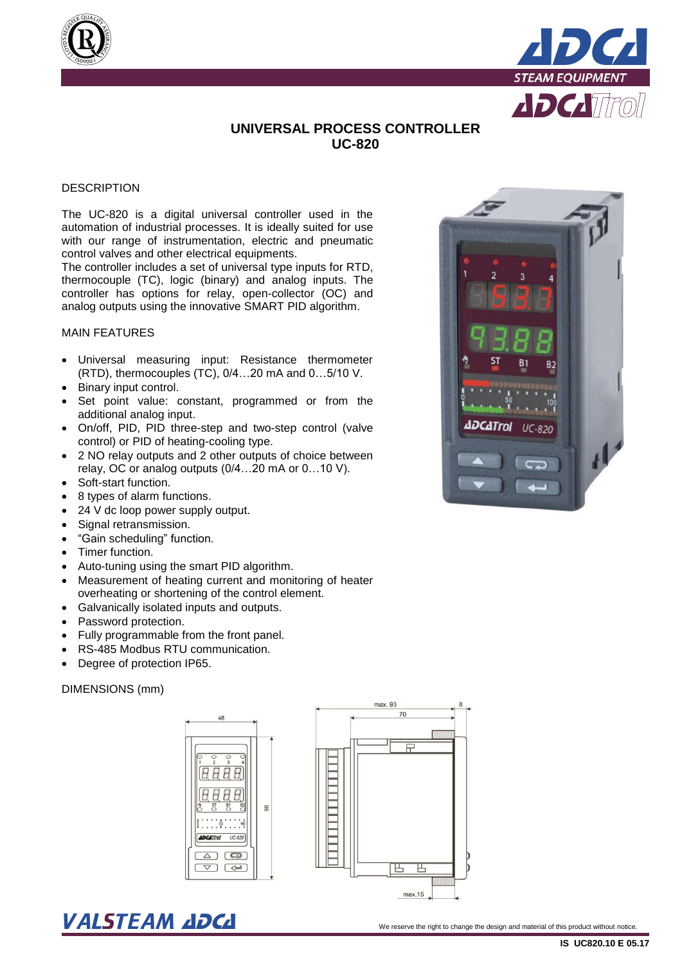



# **UNIVERSAL PROCESS CONTROLLER UC-820**

## **DESCRIPTION**

The UC-820 is a digital universal controller used in the automation of industrial processes. It is ideally suited for use with our range of instrumentation, electric and pneumatic control valves and other electrical equipments.

The controller includes a set of universal type inputs for RTD, thermocouple (TC), logic (binary) and analog inputs. The controller has options for relay, open-collector (OC) and analog outputs using the innovative SMART PID algorithm.

#### MAIN FEATURES

- Universal measuring input: Resistance thermometer (RTD), thermocouples (TC), 0/4…20 mA and 0…5/10 V.
- Binary input control.
- Set point value: constant, programmed or from the additional analog input.
- On/off, PID, PID three-step and two-step control (valve control) or PID of heating-cooling type.
- 2 NO relay outputs and 2 other outputs of choice between relay, OC or analog outputs (0/4…20 mA or 0…10 V).
- Soft-start function.
- 8 types of alarm functions.
- 24 V dc loop power supply output.
- Signal retransmission.
- "Gain scheduling" function.
- Timer function.
- Auto-tuning using the smart PID algorithm.
- Measurement of heating current and monitoring of heater overheating or shortening of the control element.
- Galvanically isolated inputs and outputs.
- Password protection.
- Fully programmable from the front panel.
- RS-485 Modbus RTU communication.
- Degree of protection IP65.

## DIMENSIONS (mm)





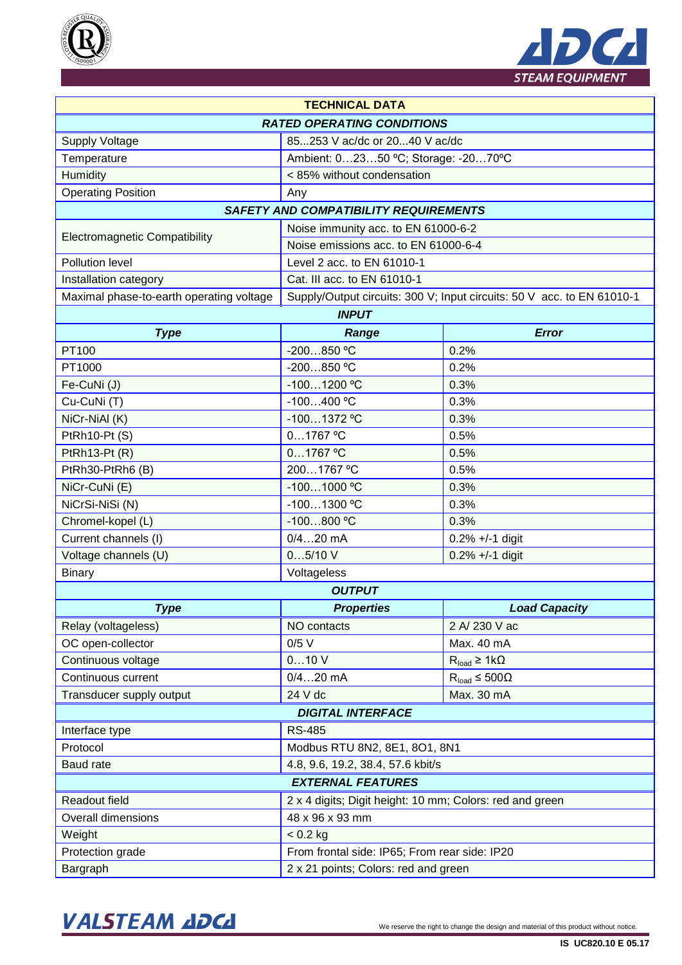



| <b>TECHNICAL DATA</b>                    |                                                                        |                          |  |  |  |  |
|------------------------------------------|------------------------------------------------------------------------|--------------------------|--|--|--|--|
| <b>RATED OPERATING CONDITIONS</b>        |                                                                        |                          |  |  |  |  |
| <b>Supply Voltage</b>                    | 85253 V ac/dc or 2040 V ac/dc                                          |                          |  |  |  |  |
| Temperature                              | Ambient: 02350 °C; Storage: -2070°C                                    |                          |  |  |  |  |
| Humidity                                 | < 85% without condensation                                             |                          |  |  |  |  |
| <b>Operating Position</b>                | Any                                                                    |                          |  |  |  |  |
|                                          | <b>SAFETY AND COMPATIBILITY REQUIREMENTS</b>                           |                          |  |  |  |  |
|                                          | Noise immunity acc. to EN 61000-6-2                                    |                          |  |  |  |  |
| <b>Electromagnetic Compatibility</b>     | Noise emissions acc. to EN 61000-6-4                                   |                          |  |  |  |  |
| Pollution level                          | Level 2 acc. to EN 61010-1                                             |                          |  |  |  |  |
| Installation category                    | Cat. III acc. to EN 61010-1                                            |                          |  |  |  |  |
| Maximal phase-to-earth operating voltage | Supply/Output circuits: 300 V; Input circuits: 50 V acc. to EN 61010-1 |                          |  |  |  |  |
| <b>INPUT</b>                             |                                                                        |                          |  |  |  |  |
| <b>Type</b>                              | Range                                                                  | <b>Error</b>             |  |  |  |  |
| PT100                                    | $-200850$ °C                                                           | 0.2%                     |  |  |  |  |
| PT1000                                   | -200850 °C                                                             | 0.2%                     |  |  |  |  |
| Fe-CuNi(J)                               | -1001200 °C                                                            | 0.3%                     |  |  |  |  |
| Cu-CuNi(T)                               | $-100400 °C$                                                           | 0.3%                     |  |  |  |  |
| NiCr-NiAl (K)                            | $-1001372$ °C                                                          | 0.3%                     |  |  |  |  |
| PtRh10-Pt (S)                            | $01767$ °C                                                             | 0.5%                     |  |  |  |  |
| PtRh13-Pt (R)                            | $01767$ °C                                                             | 0.5%                     |  |  |  |  |
| PtRh30-PtRh6 (B)                         | 2001767 °C                                                             | 0.5%                     |  |  |  |  |
| NiCr-CuNi (E)                            | $-1001000$ °C                                                          | 0.3%                     |  |  |  |  |
| NiCrSi-NiSi (N)                          | -1001300 °C                                                            | 0.3%                     |  |  |  |  |
| Chromel-kopel (L)                        | $-100800$ °C                                                           | 0.3%                     |  |  |  |  |
| Current channels (I)                     | $0/420$ mA                                                             | $0.2\% +/-1$ digit       |  |  |  |  |
| Voltage channels (U)                     | 05/10V                                                                 | $0.2\% +/-1$ digit       |  |  |  |  |
| <b>Binary</b>                            | Voltageless                                                            |                          |  |  |  |  |
| <b>OUTPUT</b>                            |                                                                        |                          |  |  |  |  |
| <b>Type</b>                              | <b>Properties</b>                                                      | <b>Load Capacity</b>     |  |  |  |  |
| Relay (voltageless)                      | NO contacts                                                            | 2 A/ 230 V ac            |  |  |  |  |
| OC open-collector                        | $0/5$ V                                                                | Max. 40 mA               |  |  |  |  |
| Continuous voltage                       | 010V                                                                   | $R_{load} \geq 1k\Omega$ |  |  |  |  |
| Continuous current                       | $0/420$ mA                                                             | $R_{load} \le 500\Omega$ |  |  |  |  |
| Transducer supply output                 | 24 V dc                                                                | Max. 30 mA               |  |  |  |  |
| <b>DIGITAL INTERFACE</b>                 |                                                                        |                          |  |  |  |  |
| Interface type                           | <b>RS-485</b>                                                          |                          |  |  |  |  |
| Protocol                                 | Modbus RTU 8N2, 8E1, 8O1, 8N1                                          |                          |  |  |  |  |
| <b>Baud rate</b>                         | 4.8, 9.6, 19.2, 38.4, 57.6 kbit/s                                      |                          |  |  |  |  |
| <b>EXTERNAL FEATURES</b>                 |                                                                        |                          |  |  |  |  |
| Readout field                            | 2 x 4 digits; Digit height: 10 mm; Colors: red and green               |                          |  |  |  |  |
| <b>Overall dimensions</b>                | 48 x 96 x 93 mm                                                        |                          |  |  |  |  |
| Weight                                   | $< 0.2$ kg                                                             |                          |  |  |  |  |
| Protection grade                         | From frontal side: IP65; From rear side: IP20                          |                          |  |  |  |  |
| Bargraph                                 | 2 x 21 points; Colors: red and green                                   |                          |  |  |  |  |

# VALSTEAM ADCA We reserve the right to change the design and material of this product without notice.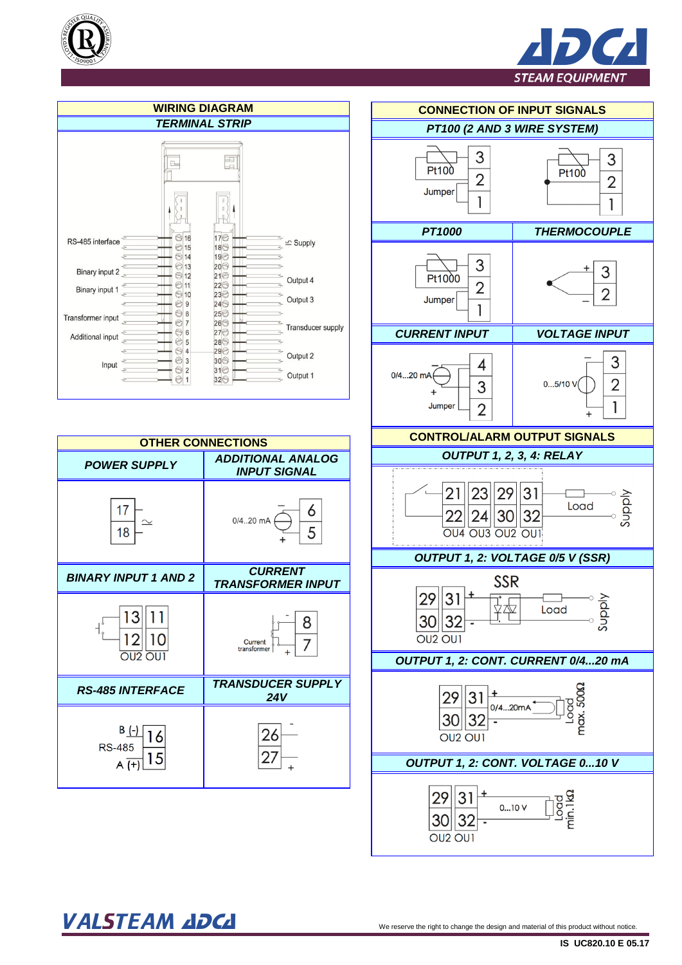









VALSTEAM ADCA We reserve the right to change the design and material of this product without notice.